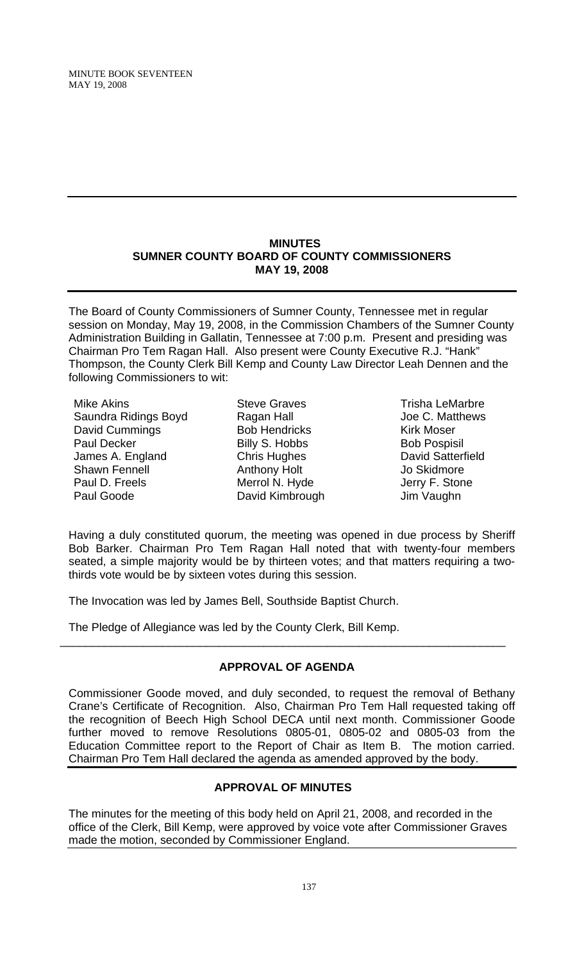### **MINUTES SUMNER COUNTY BOARD OF COUNTY COMMISSIONERS MAY 19, 2008**

The Board of County Commissioners of Sumner County, Tennessee met in regular session on Monday, May 19, 2008, in the Commission Chambers of the Sumner County Administration Building in Gallatin, Tennessee at 7:00 p.m. Present and presiding was Chairman Pro Tem Ragan Hall. Also present were County Executive R.J. "Hank" Thompson, the County Clerk Bill Kemp and County Law Director Leah Dennen and the following Commissioners to wit:

Mike Akins Saundra Ridings Boyd David Cummings Paul Decker James A. England Shawn Fennell Paul D. Freels Paul Goode

Steve Graves Ragan Hall Bob Hendricks Billy S. Hobbs Chris Hughes Anthony Holt Merrol N. Hyde David Kimbrough

Trisha LeMarbre Joe C. Matthews Kirk Moser Bob Pospisil David Satterfield Jo Skidmore Jerry F. Stone Jim Vaughn

Having a duly constituted quorum, the meeting was opened in due process by Sheriff Bob Barker. Chairman Pro Tem Ragan Hall noted that with twenty-four members seated, a simple majority would be by thirteen votes; and that matters requiring a twothirds vote would be by sixteen votes during this session.

The Invocation was led by James Bell, Southside Baptist Church.

The Pledge of Allegiance was led by the County Clerk, Bill Kemp.

# **APPROVAL OF AGENDA**

\_\_\_\_\_\_\_\_\_\_\_\_\_\_\_\_\_\_\_\_\_\_\_\_\_\_\_\_\_\_\_\_\_\_\_\_\_\_\_\_\_\_\_\_\_\_\_\_\_\_\_\_\_\_\_\_\_\_\_\_\_\_\_\_\_\_\_\_\_\_

Commissioner Goode moved, and duly seconded, to request the removal of Bethany Crane's Certificate of Recognition. Also, Chairman Pro Tem Hall requested taking off the recognition of Beech High School DECA until next month. Commissioner Goode further moved to remove Resolutions 0805-01, 0805-02 and 0805-03 from the Education Committee report to the Report of Chair as Item B. The motion carried. Chairman Pro Tem Hall declared the agenda as amended approved by the body.

## **APPROVAL OF MINUTES**

The minutes for the meeting of this body held on April 21, 2008, and recorded in the office of the Clerk, Bill Kemp, were approved by voice vote after Commissioner Graves made the motion, seconded by Commissioner England.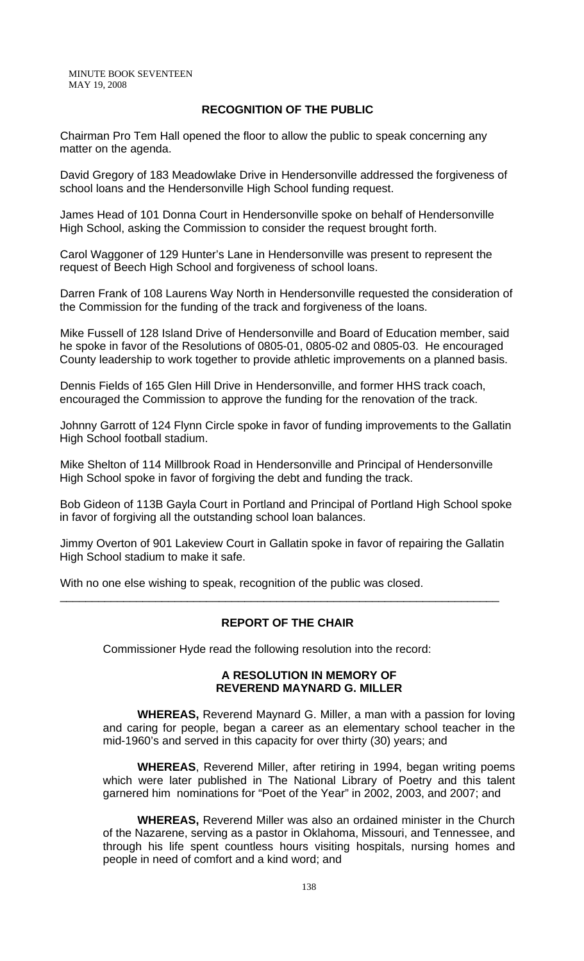### **RECOGNITION OF THE PUBLIC**

Chairman Pro Tem Hall opened the floor to allow the public to speak concerning any matter on the agenda.

David Gregory of 183 Meadowlake Drive in Hendersonville addressed the forgiveness of school loans and the Hendersonville High School funding request.

James Head of 101 Donna Court in Hendersonville spoke on behalf of Hendersonville High School, asking the Commission to consider the request brought forth.

Carol Waggoner of 129 Hunter's Lane in Hendersonville was present to represent the request of Beech High School and forgiveness of school loans.

Darren Frank of 108 Laurens Way North in Hendersonville requested the consideration of the Commission for the funding of the track and forgiveness of the loans.

Mike Fussell of 128 Island Drive of Hendersonville and Board of Education member, said he spoke in favor of the Resolutions of 0805-01, 0805-02 and 0805-03. He encouraged County leadership to work together to provide athletic improvements on a planned basis.

Dennis Fields of 165 Glen Hill Drive in Hendersonville, and former HHS track coach, encouraged the Commission to approve the funding for the renovation of the track.

Johnny Garrott of 124 Flynn Circle spoke in favor of funding improvements to the Gallatin High School football stadium.

Mike Shelton of 114 Millbrook Road in Hendersonville and Principal of Hendersonville High School spoke in favor of forgiving the debt and funding the track.

Bob Gideon of 113B Gayla Court in Portland and Principal of Portland High School spoke in favor of forgiving all the outstanding school loan balances.

Jimmy Overton of 901 Lakeview Court in Gallatin spoke in favor of repairing the Gallatin High School stadium to make it safe.

\_\_\_\_\_\_\_\_\_\_\_\_\_\_\_\_\_\_\_\_\_\_\_\_\_\_\_\_\_\_\_\_\_\_\_\_\_\_\_\_\_\_\_\_\_\_\_\_\_\_\_\_\_\_\_\_\_\_\_\_\_\_\_\_\_\_\_\_\_

With no one else wishing to speak, recognition of the public was closed.

## **REPORT OF THE CHAIR**

Commissioner Hyde read the following resolution into the record:

#### **A RESOLUTION IN MEMORY OF REVEREND MAYNARD G. MILLER**

 **WHEREAS,** Reverend Maynard G. Miller, a man with a passion for loving and caring for people, began a career as an elementary school teacher in the mid-1960's and served in this capacity for over thirty (30) years; and

**WHEREAS**, Reverend Miller, after retiring in 1994, began writing poems which were later published in The National Library of Poetry and this talent garnered him nominations for "Poet of the Year" in 2002, 2003, and 2007; and

**WHEREAS,** Reverend Miller was also an ordained minister in the Church of the Nazarene, serving as a pastor in Oklahoma, Missouri, and Tennessee, and through his life spent countless hours visiting hospitals, nursing homes and people in need of comfort and a kind word; and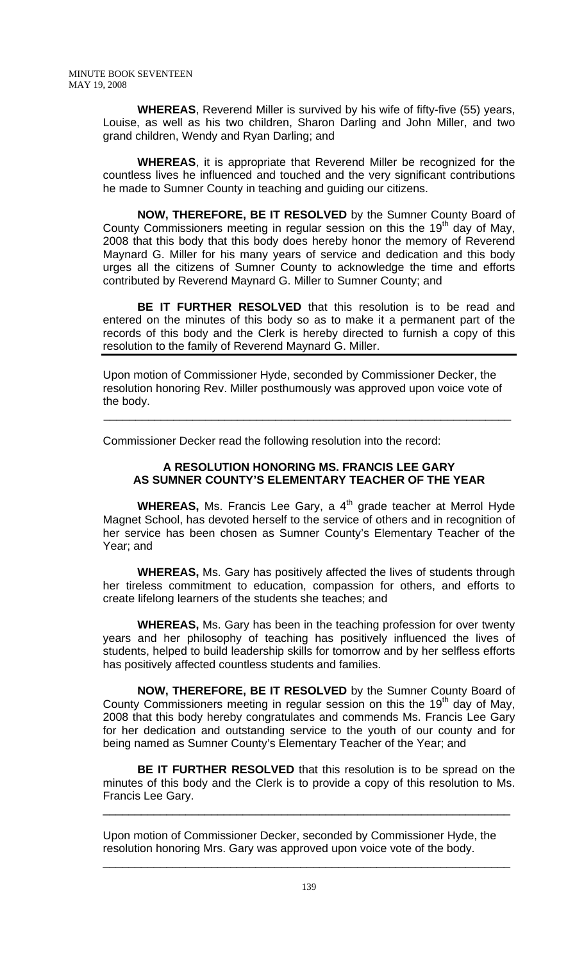**WHEREAS**, Reverend Miller is survived by his wife of fifty-five (55) years, Louise, as well as his two children, Sharon Darling and John Miller, and two grand children, Wendy and Ryan Darling; and

**WHEREAS**, it is appropriate that Reverend Miller be recognized for the countless lives he influenced and touched and the very significant contributions he made to Sumner County in teaching and guiding our citizens.

**NOW, THEREFORE, BE IT RESOLVED** by the Sumner County Board of County Commissioners meeting in regular session on this the 19<sup>th</sup> day of May, 2008 that this body that this body does hereby honor the memory of Reverend Maynard G. Miller for his many years of service and dedication and this body urges all the citizens of Sumner County to acknowledge the time and efforts contributed by Reverend Maynard G. Miller to Sumner County; and

**BE IT FURTHER RESOLVED** that this resolution is to be read and entered on the minutes of this body so as to make it a permanent part of the records of this body and the Clerk is hereby directed to furnish a copy of this resolution to the family of Reverend Maynard G. Miller.

Upon motion of Commissioner Hyde, seconded by Commissioner Decker, the resolution honoring Rev. Miller posthumously was approved upon voice vote of the body.

\_\_\_\_\_\_\_\_\_\_\_\_\_\_\_\_\_\_\_\_\_\_\_\_\_\_\_\_\_\_\_\_\_\_\_\_\_\_\_\_\_\_\_\_\_\_\_\_\_\_\_\_\_\_\_\_\_\_\_\_\_\_\_\_

Commissioner Decker read the following resolution into the record:

## **A RESOLUTION HONORING MS. FRANCIS LEE GARY AS SUMNER COUNTY'S ELEMENTARY TEACHER OF THE YEAR**

**WHEREAS,** Ms. Francis Lee Gary, a 4<sup>th</sup> grade teacher at Merrol Hyde Magnet School, has devoted herself to the service of others and in recognition of her service has been chosen as Sumner County's Elementary Teacher of the Year; and

**WHEREAS,** Ms. Gary has positively affected the lives of students through her tireless commitment to education, compassion for others, and efforts to create lifelong learners of the students she teaches; and

**WHEREAS,** Ms. Gary has been in the teaching profession for over twenty years and her philosophy of teaching has positively influenced the lives of students, helped to build leadership skills for tomorrow and by her selfless efforts has positively affected countless students and families.

**NOW, THEREFORE, BE IT RESOLVED** by the Sumner County Board of County Commissioners meeting in regular session on this the  $19<sup>th</sup>$  day of May, 2008 that this body hereby congratulates and commends Ms. Francis Lee Gary for her dedication and outstanding service to the youth of our county and for being named as Sumner County's Elementary Teacher of the Year; and

**BE IT FURTHER RESOLVED** that this resolution is to be spread on the minutes of this body and the Clerk is to provide a copy of this resolution to Ms. Francis Lee Gary.

\_\_\_\_\_\_\_\_\_\_\_\_\_\_\_\_\_\_\_\_\_\_\_\_\_\_\_\_\_\_\_\_\_\_\_\_\_\_\_\_\_\_\_\_\_\_\_\_\_\_\_\_\_\_\_\_\_\_\_\_\_\_\_\_

Upon motion of Commissioner Decker, seconded by Commissioner Hyde, the resolution honoring Mrs. Gary was approved upon voice vote of the body.

 $\frac{1}{2}$  ,  $\frac{1}{2}$  ,  $\frac{1}{2}$  ,  $\frac{1}{2}$  ,  $\frac{1}{2}$  ,  $\frac{1}{2}$  ,  $\frac{1}{2}$  ,  $\frac{1}{2}$  ,  $\frac{1}{2}$  ,  $\frac{1}{2}$  ,  $\frac{1}{2}$  ,  $\frac{1}{2}$  ,  $\frac{1}{2}$  ,  $\frac{1}{2}$  ,  $\frac{1}{2}$  ,  $\frac{1}{2}$  ,  $\frac{1}{2}$  ,  $\frac{1}{2}$  ,  $\frac{1$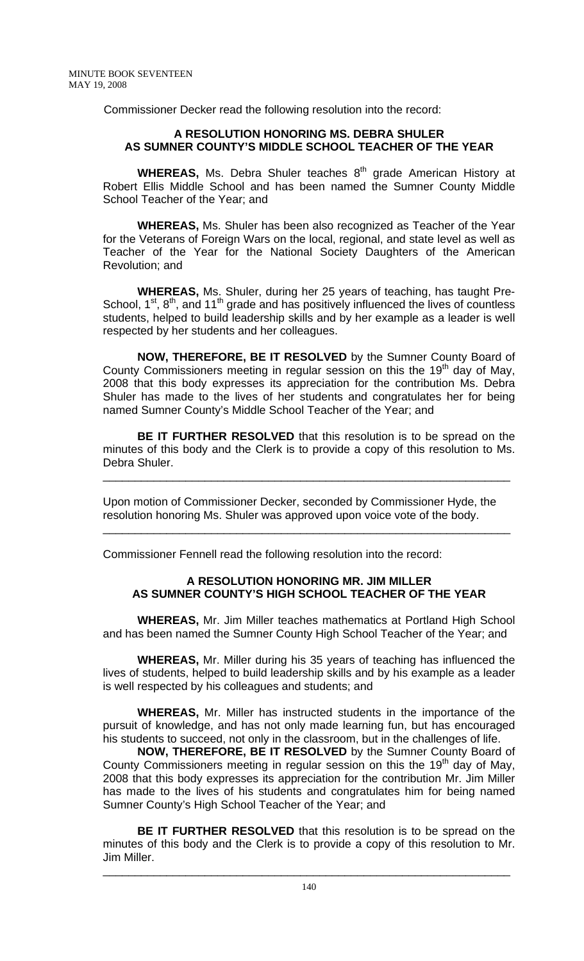Commissioner Decker read the following resolution into the record:

## **A RESOLUTION HONORING MS. DEBRA SHULER AS SUMNER COUNTY'S MIDDLE SCHOOL TEACHER OF THE YEAR**

**WHEREAS, Ms. Debra Shuler teaches 8<sup>th</sup> grade American History at** Robert Ellis Middle School and has been named the Sumner County Middle School Teacher of the Year; and

**WHEREAS,** Ms. Shuler has been also recognized as Teacher of the Year for the Veterans of Foreign Wars on the local, regional, and state level as well as Teacher of the Year for the National Society Daughters of the American Revolution; and

**WHEREAS,** Ms. Shuler, during her 25 years of teaching, has taught Pre-School,  $1^{st}$ ,  $8^{th}$ , and  $11^{th}$  grade and has positively influenced the lives of countless students, helped to build leadership skills and by her example as a leader is well respected by her students and her colleagues.

**NOW, THEREFORE, BE IT RESOLVED** by the Sumner County Board of County Commissioners meeting in regular session on this the 19<sup>th</sup> day of May, 2008 that this body expresses its appreciation for the contribution Ms. Debra Shuler has made to the lives of her students and congratulates her for being named Sumner County's Middle School Teacher of the Year; and

**BE IT FURTHER RESOLVED** that this resolution is to be spread on the minutes of this body and the Clerk is to provide a copy of this resolution to Ms. Debra Shuler.

\_\_\_\_\_\_\_\_\_\_\_\_\_\_\_\_\_\_\_\_\_\_\_\_\_\_\_\_\_\_\_\_\_\_\_\_\_\_\_\_\_\_\_\_\_\_\_\_\_\_\_\_\_\_\_\_\_\_\_\_\_\_\_\_

\_\_\_\_\_\_\_\_\_\_\_\_\_\_\_\_\_\_\_\_\_\_\_\_\_\_\_\_\_\_\_\_\_\_\_\_\_\_\_\_\_\_\_\_\_\_\_\_\_\_\_\_\_\_\_\_\_\_\_\_\_\_\_\_

Upon motion of Commissioner Decker, seconded by Commissioner Hyde, the resolution honoring Ms. Shuler was approved upon voice vote of the body.

Commissioner Fennell read the following resolution into the record:

## **A RESOLUTION HONORING MR. JIM MILLER AS SUMNER COUNTY'S HIGH SCHOOL TEACHER OF THE YEAR**

**WHEREAS,** Mr. Jim Miller teaches mathematics at Portland High School and has been named the Sumner County High School Teacher of the Year; and

**WHEREAS,** Mr. Miller during his 35 years of teaching has influenced the lives of students, helped to build leadership skills and by his example as a leader is well respected by his colleagues and students; and

**WHEREAS,** Mr. Miller has instructed students in the importance of the pursuit of knowledge, and has not only made learning fun, but has encouraged his students to succeed, not only in the classroom, but in the challenges of life.

**NOW, THEREFORE, BE IT RESOLVED** by the Sumner County Board of County Commissioners meeting in regular session on this the 19<sup>th</sup> day of May, 2008 that this body expresses its appreciation for the contribution Mr. Jim Miller has made to the lives of his students and congratulates him for being named Sumner County's High School Teacher of the Year; and

**BE IT FURTHER RESOLVED** that this resolution is to be spread on the minutes of this body and the Clerk is to provide a copy of this resolution to Mr. Jim Miller.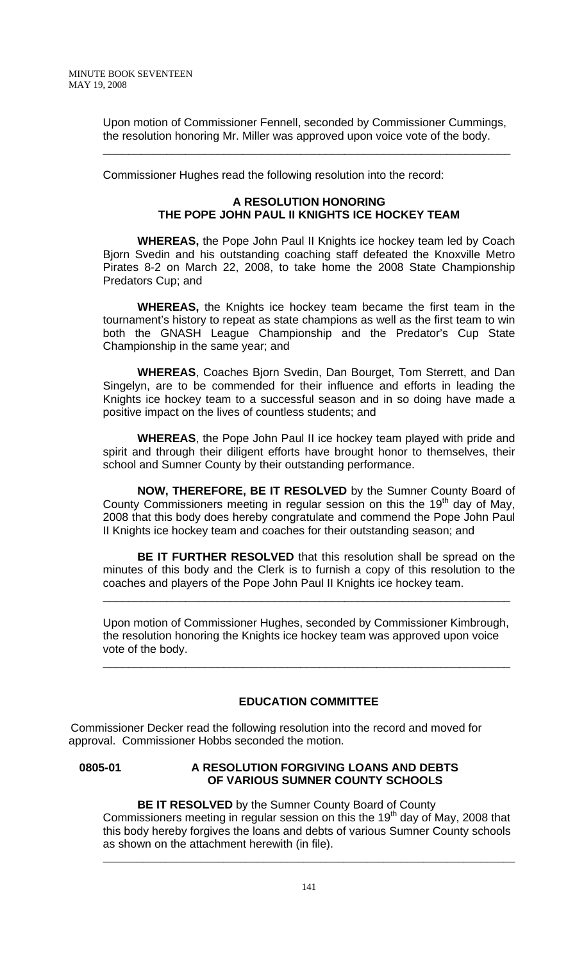Upon motion of Commissioner Fennell, seconded by Commissioner Cummings, the resolution honoring Mr. Miller was approved upon voice vote of the body.

\_\_\_\_\_\_\_\_\_\_\_\_\_\_\_\_\_\_\_\_\_\_\_\_\_\_\_\_\_\_\_\_\_\_\_\_\_\_\_\_\_\_\_\_\_\_\_\_\_\_\_\_\_\_\_\_\_\_\_\_\_\_\_\_

Commissioner Hughes read the following resolution into the record:

## **A RESOLUTION HONORING THE POPE JOHN PAUL II KNIGHTS ICE HOCKEY TEAM**

 **WHEREAS,** the Pope John Paul II Knights ice hockey team led by Coach Bjorn Svedin and his outstanding coaching staff defeated the Knoxville Metro Pirates 8-2 on March 22, 2008, to take home the 2008 State Championship Predators Cup; and

**WHEREAS,** the Knights ice hockey team became the first team in the tournament's history to repeat as state champions as well as the first team to win both the GNASH League Championship and the Predator's Cup State Championship in the same year; and

**WHEREAS**, Coaches Bjorn Svedin, Dan Bourget, Tom Sterrett, and Dan Singelyn, are to be commended for their influence and efforts in leading the Knights ice hockey team to a successful season and in so doing have made a positive impact on the lives of countless students; and

**WHEREAS**, the Pope John Paul II ice hockey team played with pride and spirit and through their diligent efforts have brought honor to themselves, their school and Sumner County by their outstanding performance.

**NOW, THEREFORE, BE IT RESOLVED** by the Sumner County Board of County Commissioners meeting in regular session on this the  $19<sup>th</sup>$  day of May, 2008 that this body does hereby congratulate and commend the Pope John Paul II Knights ice hockey team and coaches for their outstanding season; and

**BE IT FURTHER RESOLVED** that this resolution shall be spread on the minutes of this body and the Clerk is to furnish a copy of this resolution to the coaches and players of the Pope John Paul II Knights ice hockey team.

\_\_\_\_\_\_\_\_\_\_\_\_\_\_\_\_\_\_\_\_\_\_\_\_\_\_\_\_\_\_\_\_\_\_\_\_\_\_\_\_\_\_\_\_\_\_\_\_\_\_\_\_\_\_\_\_\_\_\_\_\_\_\_\_

Upon motion of Commissioner Hughes, seconded by Commissioner Kimbrough, the resolution honoring the Knights ice hockey team was approved upon voice vote of the body.

\_\_\_\_\_\_\_\_\_\_\_\_\_\_\_\_\_\_\_\_\_\_\_\_\_\_\_\_\_\_\_\_\_\_\_\_\_\_\_\_\_\_\_\_\_\_\_\_\_\_\_\_\_\_\_\_\_\_\_\_\_\_\_\_

## **EDUCATION COMMITTEE**

 Commissioner Decker read the following resolution into the record and moved for approval. Commissioner Hobbs seconded the motion.

### **0805-01 A RESOLUTION FORGIVING LOANS AND DEBTS OF VARIOUS SUMNER COUNTY SCHOOLS**

**BE IT RESOLVED** by the Sumner County Board of County Commissioners meeting in regular session on this the 19<sup>th</sup> day of May, 2008 that this body hereby forgives the loans and debts of various Sumner County schools as shown on the attachment herewith (in file).

\_\_\_\_\_\_\_\_\_\_\_\_\_\_\_\_\_\_\_\_\_\_\_\_\_\_\_\_\_\_\_\_\_\_\_\_\_\_\_\_\_\_\_\_\_\_\_\_\_\_\_\_\_\_\_\_\_\_\_\_\_\_\_\_\_\_\_\_\_\_\_\_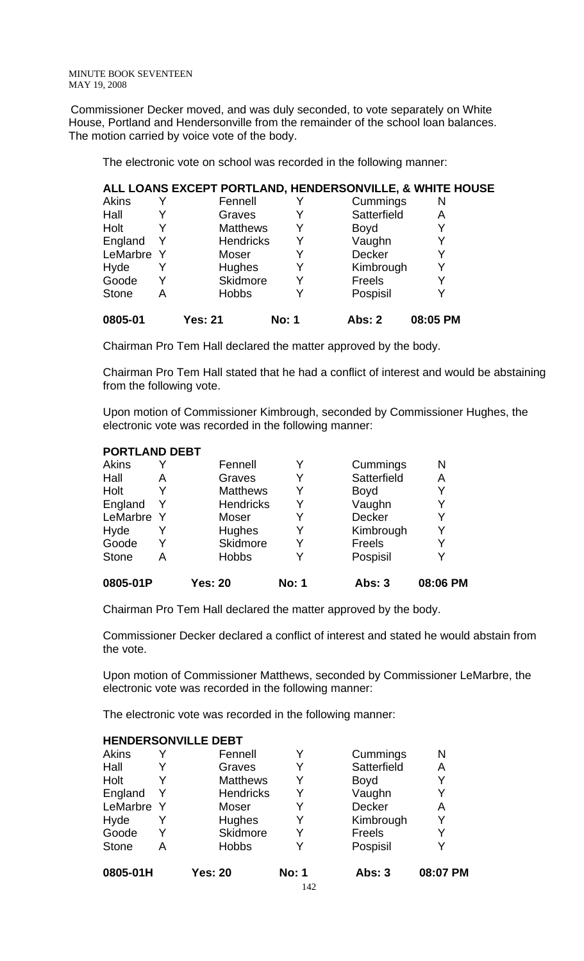Commissioner Decker moved, and was duly seconded, to vote separately on White House, Portland and Hendersonville from the remainder of the school loan balances. The motion carried by voice vote of the body.

The electronic vote on school was recorded in the following manner:

|              |   | ALL LOANS EXCEPT PORTLAND, HENDERSONVILLE, & WHITE HOUSE |              |             |          |  |
|--------------|---|----------------------------------------------------------|--------------|-------------|----------|--|
| Akins        |   | Fennell                                                  |              | Cummings    | N        |  |
| Hall         |   | Graves                                                   |              | Satterfield | Α        |  |
| Holt         |   | <b>Matthews</b>                                          | Y            | <b>Boyd</b> |          |  |
| England      | Y | <b>Hendricks</b>                                         | Y            | Vaughn      |          |  |
| LeMarbre Y   |   | Moser                                                    |              | Decker      | Y        |  |
| Hyde         |   | Hughes                                                   |              | Kimbrough   | Y        |  |
| Goode        |   | Skidmore                                                 |              | Freels      | Y        |  |
| <b>Stone</b> | A | <b>Hobbs</b>                                             |              | Pospisil    | Y        |  |
| 0805-01      |   | Yes: 21                                                  | <b>No: 1</b> | Abs: 2      | 08:05 PM |  |

Chairman Pro Tem Hall declared the matter approved by the body.

Chairman Pro Tem Hall stated that he had a conflict of interest and would be abstaining from the following vote.

Upon motion of Commissioner Kimbrough, seconded by Commissioner Hughes, the electronic vote was recorded in the following manner:

### **PORTLAND DEBT**

| 0805-01P     |   | <b>Yes: 20</b>   | <b>No: 1</b> | <b>Abs: 3</b> | 08:06 PM |
|--------------|---|------------------|--------------|---------------|----------|
| <b>Stone</b> | Α | <b>Hobbs</b>     | Y            | Pospisil      |          |
| Goode        | Y | Skidmore         | Y            | <b>Freels</b> |          |
| Hyde         |   | Hughes           | Y            | Kimbrough     | Y        |
| LeMarbre Y   |   | Moser            | Y            | Decker        | Y        |
| England      | Y | <b>Hendricks</b> | Y            | Vaughn        |          |
| Holt         |   | <b>Matthews</b>  | Y            | <b>Boyd</b>   | Y        |
| Hall         | А | Graves           | Y            | Satterfield   | A        |
| Akins        |   | Fennell          | Y            | Cummings      | N        |

Chairman Pro Tem Hall declared the matter approved by the body.

Commissioner Decker declared a conflict of interest and stated he would abstain from the vote.

Upon motion of Commissioner Matthews, seconded by Commissioner LeMarbre, the electronic vote was recorded in the following manner:

The electronic vote was recorded in the following manner:

|            | Fennell          | Y                          | Cummings      | N        |
|------------|------------------|----------------------------|---------------|----------|
|            | Graves           | Y                          | Satterfield   | A        |
|            | <b>Matthews</b>  | Y                          | <b>Boyd</b>   |          |
| Y          | <b>Hendricks</b> | Y                          | Vaughn        | Y        |
| LeMarbre Y | Moser            | Y                          | Decker        | A        |
|            | Hughes           | Y                          | Kimbrough     | Y        |
|            | Skidmore         | Y                          | Freels        | Y        |
| А          | <b>Hobbs</b>     | Y                          | Pospisil      |          |
|            | <b>Yes: 20</b>   | <b>No: 1</b>               | <b>Abs: 3</b> | 08:07 PM |
|            |                  | <b>HENDERSONVILLE DEBT</b> |               |          |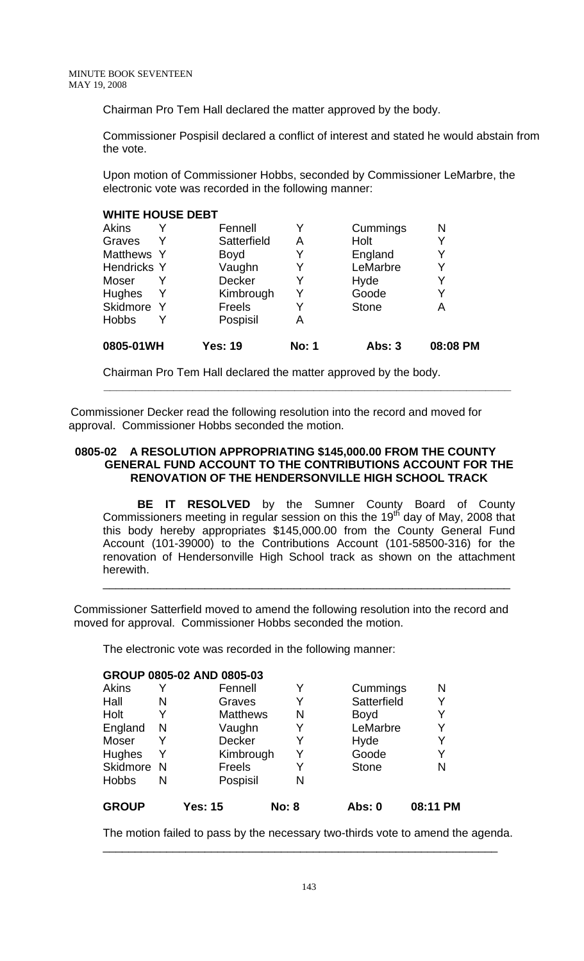Chairman Pro Tem Hall declared the matter approved by the body.

Commissioner Pospisil declared a conflict of interest and stated he would abstain from the vote.

Upon motion of Commissioner Hobbs, seconded by Commissioner LeMarbre, the electronic vote was recorded in the following manner:

## **WHITE HOUSE DEBT**

| <b>Akins</b>       |              | Fennell        |              | Cummings      | N        |
|--------------------|--------------|----------------|--------------|---------------|----------|
| Graves             |              | Satterfield    | Α            | Holt          | Y        |
| Matthews Y         |              | <b>Boyd</b>    |              | England       |          |
| <b>Hendricks Y</b> |              | Vaughn         |              | LeMarbre      |          |
| Moser              |              | Decker         |              | Hyde          |          |
| <b>Hughes</b>      |              | Kimbrough      | Y            | Goode         |          |
| Skidmore           | <sup>Y</sup> | <b>Freels</b>  |              | <b>Stone</b>  | Α        |
| <b>Hobbs</b>       |              | Pospisil       | A            |               |          |
| 0805-01WH          |              | <b>Yes: 19</b> | <b>No: 1</b> | <b>Abs: 3</b> | 08:08 PM |

Chairman Pro Tem Hall declared the matter approved by the body.

 Commissioner Decker read the following resolution into the record and moved for approval. Commissioner Hobbs seconded the motion.

 **\_\_\_\_\_\_\_\_\_\_\_\_\_\_\_\_\_\_\_\_\_\_\_\_\_\_\_\_\_\_\_\_\_\_\_\_\_\_\_\_\_\_\_\_\_\_\_\_\_\_\_\_\_\_\_\_\_\_\_\_\_\_\_\_** 

## **0805-02 A RESOLUTION APPROPRIATING \$145,000.00 FROM THE COUNTY GENERAL FUND ACCOUNT TO THE CONTRIBUTIONS ACCOUNT FOR THE RENOVATION OF THE HENDERSONVILLE HIGH SCHOOL TRACK**

 **BE IT RESOLVED** by the Sumner County Board of County Commissioners meeting in regular session on this the 19<sup>th</sup> day of May, 2008 that this body hereby appropriates \$145,000.00 from the County General Fund Account (101-39000) to the Contributions Account (101-58500-316) for the renovation of Hendersonville High School track as shown on the attachment herewith.

\_\_\_\_\_\_\_\_\_\_\_\_\_\_\_\_\_\_\_\_\_\_\_\_\_\_\_\_\_\_\_\_\_\_\_\_\_\_\_\_\_\_\_\_\_\_\_\_\_\_\_\_\_\_\_\_\_\_\_\_\_\_\_\_

 Commissioner Satterfield moved to amend the following resolution into the record and moved for approval. Commissioner Hobbs seconded the motion.

The electronic vote was recorded in the following manner:

## **GROUP 0805-02 AND 0805-03**

| <b>GROUP</b> |   | <b>Yes: 15</b>  | <b>No: 8</b> | Abs: 0       | 08:11 PM |
|--------------|---|-----------------|--------------|--------------|----------|
| <b>Hobbs</b> | N | Pospisil        | N            |              |          |
| Skidmore N   |   | <b>Freels</b>   |              | <b>Stone</b> | N        |
| Hughes       | Y | Kimbrough       | Y            | Goode        | Y        |
| Moser        |   | Decker          |              | Hyde         | Y        |
| England      | N | Vaughn          | Y            | LeMarbre     | Y        |
| Holt         |   | <b>Matthews</b> | N            | <b>Boyd</b>  | Y        |
| Hall         | N | Graves          |              | Satterfield  | Y        |
| Akins        |   | Fennell         |              | Cummings     | Ν        |
|              |   |                 |              |              |          |

The motion failed to pass by the necessary two-thirds vote to amend the agenda.

\_\_\_\_\_\_\_\_\_\_\_\_\_\_\_\_\_\_\_\_\_\_\_\_\_\_\_\_\_\_\_\_\_\_\_\_\_\_\_\_\_\_\_\_\_\_\_\_\_\_\_\_\_\_\_\_\_\_\_\_\_\_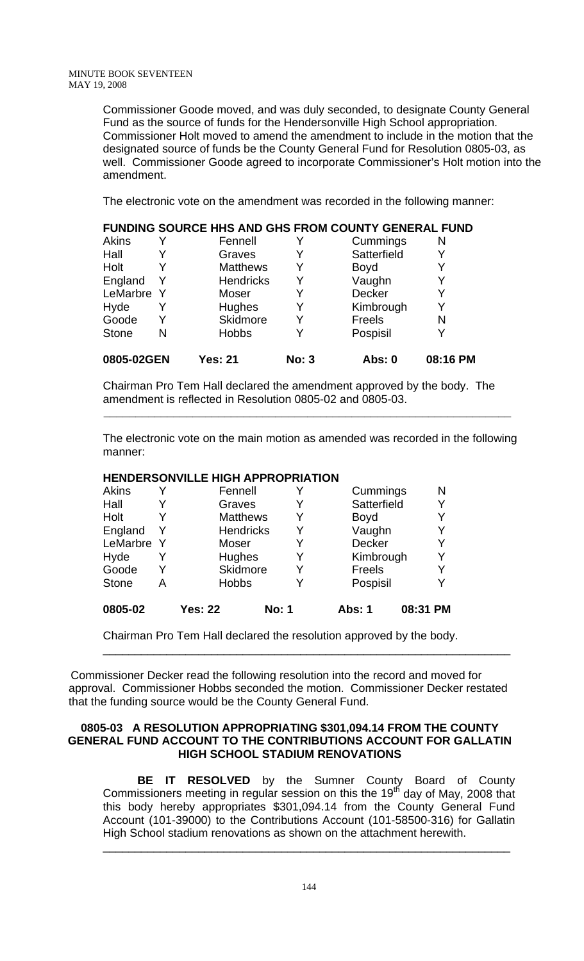Commissioner Goode moved, and was duly seconded, to designate County General Fund as the source of funds for the Hendersonville High School appropriation. Commissioner Holt moved to amend the amendment to include in the motion that the designated source of funds be the County General Fund for Resolution 0805-03, as well. Commissioner Goode agreed to incorporate Commissioner's Holt motion into the amendment.

The electronic vote on the amendment was recorded in the following manner:

**FUNDING SOURCE HHS AND GHS FROM COUNTY GENERAL FUND** 

| FUNDING SOURCE HHS AND GHS FROM COUNTY GENERAL FUND |   |                  |              |             |          |  |  |  |
|-----------------------------------------------------|---|------------------|--------------|-------------|----------|--|--|--|
| <b>Akins</b>                                        |   | Fennell          |              | Cummings    | N        |  |  |  |
| Hall                                                |   | Graves           |              | Satterfield |          |  |  |  |
| Holt                                                |   | <b>Matthews</b>  |              | Boyd        |          |  |  |  |
| England                                             | Y | <b>Hendricks</b> |              | Vaughn      |          |  |  |  |
| LeMarbre Y                                          |   | Moser            |              | Decker      |          |  |  |  |
| Hyde                                                | Y | <b>Hughes</b>    | Y            | Kimbrough   | Y        |  |  |  |
| Goode                                               | Y | Skidmore         |              | Freels      | N        |  |  |  |
| <b>Stone</b>                                        | N | <b>Hobbs</b>     |              | Pospisil    |          |  |  |  |
| 0805-02GEN                                          |   | <b>Yes: 21</b>   | <b>No: 3</b> | Abs: 0      | 08:16 PM |  |  |  |

Chairman Pro Tem Hall declared the amendment approved by the body. The amendment is reflected in Resolution 0805-02 and 0805-03.

 **\_\_\_\_\_\_\_\_\_\_\_\_\_\_\_\_\_\_\_\_\_\_\_\_\_\_\_\_\_\_\_\_\_\_\_\_\_\_\_\_\_\_\_\_\_\_\_\_\_\_\_\_\_\_\_\_\_\_\_\_\_\_\_\_** 

The electronic vote on the main motion as amended was recorded in the following manner:

## **HENDERSONVILLE HIGH APPROPRIATION**

| <b>Akins</b> | Y | Fennell          |              |               | Cummings    |          | N |
|--------------|---|------------------|--------------|---------------|-------------|----------|---|
| Hall         | Y | Graves           | Y            |               | Satterfield |          | Y |
| Holt         | Y | <b>Matthews</b>  | Y            |               | <b>Boyd</b> |          | Y |
| England      | Y | <b>Hendricks</b> | Y            |               | Vaughn      |          |   |
| LeMarbre Y   |   | Moser            |              |               | Decker      |          | Y |
| Hyde         | Y | <b>Hughes</b>    | Y            |               | Kimbrough   |          | Y |
| Goode        | Y | Skidmore         |              |               | Freels      |          |   |
| <b>Stone</b> | А | <b>Hobbs</b>     |              |               | Pospisil    |          | Y |
| 0805-02      |   | <b>Yes: 22</b>   | <b>No: 1</b> | <b>Abs: 1</b> |             | 08:31 PM |   |

Chairman Pro Tem Hall declared the resolution approved by the body.

 Commissioner Decker read the following resolution into the record and moved for approval. Commissioner Hobbs seconded the motion. Commissioner Decker restated that the funding source would be the County General Fund.

\_\_\_\_\_\_\_\_\_\_\_\_\_\_\_\_\_\_\_\_\_\_\_\_\_\_\_\_\_\_\_\_\_\_\_\_\_\_\_\_\_\_\_\_\_\_\_\_\_\_\_\_\_\_\_\_\_\_\_\_\_\_\_\_

### **0805-03 A RESOLUTION APPROPRIATING \$301,094.14 FROM THE COUNTY GENERAL FUND ACCOUNT TO THE CONTRIBUTIONS ACCOUNT FOR GALLATIN HIGH SCHOOL STADIUM RENOVATIONS**

 **BE IT RESOLVED** by the Sumner County Board of County Commissioners meeting in regular session on this the 19<sup>th</sup> day of May, 2008 that this body hereby appropriates \$301,094.14 from the County General Fund Account (101-39000) to the Contributions Account (101-58500-316) for Gallatin High School stadium renovations as shown on the attachment herewith.

\_\_\_\_\_\_\_\_\_\_\_\_\_\_\_\_\_\_\_\_\_\_\_\_\_\_\_\_\_\_\_\_\_\_\_\_\_\_\_\_\_\_\_\_\_\_\_\_\_\_\_\_\_\_\_\_\_\_\_\_\_\_\_\_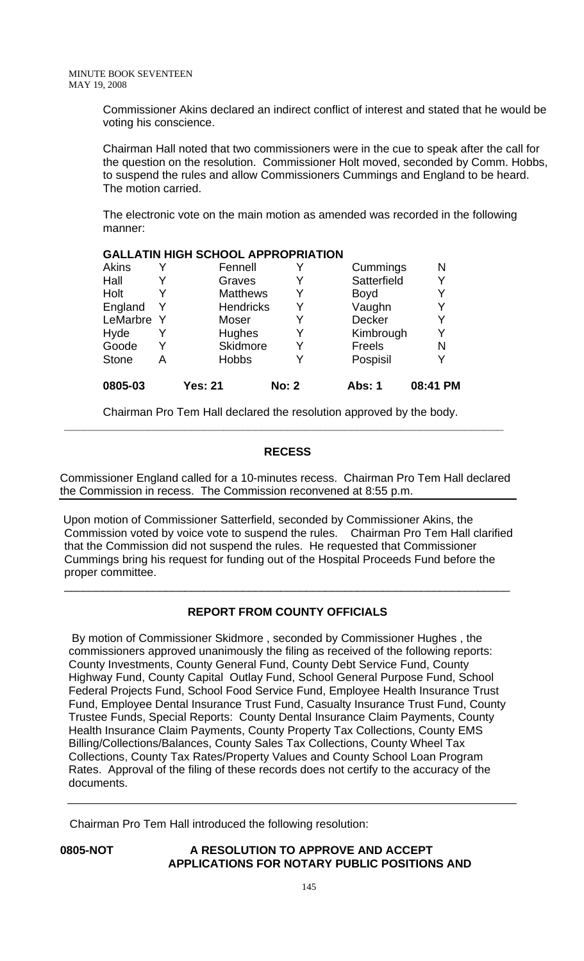Commissioner Akins declared an indirect conflict of interest and stated that he would be voting his conscience.

Chairman Hall noted that two commissioners were in the cue to speak after the call for the question on the resolution. Commissioner Holt moved, seconded by Comm. Hobbs, to suspend the rules and allow Commissioners Cummings and England to be heard. The motion carried.

The electronic vote on the main motion as amended was recorded in the following manner:

### **GALLATIN HIGH SCHOOL APPROPRIATION**

| 0805-03      |   | <b>Yes: 21</b>   | <b>No: 2</b> | Abs: 1      | 08:41 PM |
|--------------|---|------------------|--------------|-------------|----------|
| <b>Stone</b> | А | <b>Hobbs</b>     |              | Pospisil    | Y        |
| Goode        | Y | Skidmore         |              | Freels      | N        |
| Hyde         |   | Hughes           | Y            | Kimbrough   | Y        |
| LeMarbre Y   |   | Moser            | Y            | Decker      | Y        |
| England      | Y | <b>Hendricks</b> | Y            | Vaughn      | Y        |
| Holt         |   | <b>Matthews</b>  | Y            | <b>Boyd</b> | Y        |
| Hall         |   | Graves           |              | Satterfield | Y        |
| <b>Akins</b> |   | Fennell          |              | Cummings    | N        |

Chairman Pro Tem Hall declared the resolution approved by the body. **\_\_\_\_\_\_\_\_\_\_\_\_\_\_\_\_\_\_\_\_\_\_\_\_\_\_\_\_\_\_\_\_\_\_\_\_\_\_\_\_\_\_\_\_\_\_\_\_\_\_\_\_\_\_\_\_\_\_\_\_\_\_\_\_\_\_\_\_\_** 

## **RECESS**

Commissioner England called for a 10-minutes recess. Chairman Pro Tem Hall declared the Commission in recess. The Commission reconvened at 8:55 p.m.

 Upon motion of Commissioner Satterfield, seconded by Commissioner Akins, the Commission voted by voice vote to suspend the rules. Chairman Pro Tem Hall clarified that the Commission did not suspend the rules. He requested that Commissioner Cummings bring his request for funding out of the Hospital Proceeds Fund before the proper committee.

## **REPORT FROM COUNTY OFFICIALS**

\_\_\_\_\_\_\_\_\_\_\_\_\_\_\_\_\_\_\_\_\_\_\_\_\_\_\_\_\_\_\_\_\_\_\_\_\_\_\_\_\_\_\_\_\_\_\_\_\_\_\_\_\_\_\_\_\_\_\_\_\_\_\_\_\_\_\_\_\_\_

 By motion of Commissioner Skidmore , seconded by Commissioner Hughes , the commissioners approved unanimously the filing as received of the following reports: County Investments, County General Fund, County Debt Service Fund, County Highway Fund, County Capital Outlay Fund, School General Purpose Fund, School Federal Projects Fund, School Food Service Fund, Employee Health Insurance Trust Fund, Employee Dental Insurance Trust Fund, Casualty Insurance Trust Fund, County Trustee Funds, Special Reports: County Dental Insurance Claim Payments, County Health Insurance Claim Payments, County Property Tax Collections, County EMS Billing/Collections/Balances, County Sales Tax Collections, County Wheel Tax Collections, County Tax Rates/Property Values and County School Loan Program Rates. Approval of the filing of these records does not certify to the accuracy of the documents.

Chairman Pro Tem Hall introduced the following resolution:

**0805-NOT A RESOLUTION TO APPROVE AND ACCEPT APPLICATIONS FOR NOTARY PUBLIC POSITIONS AND**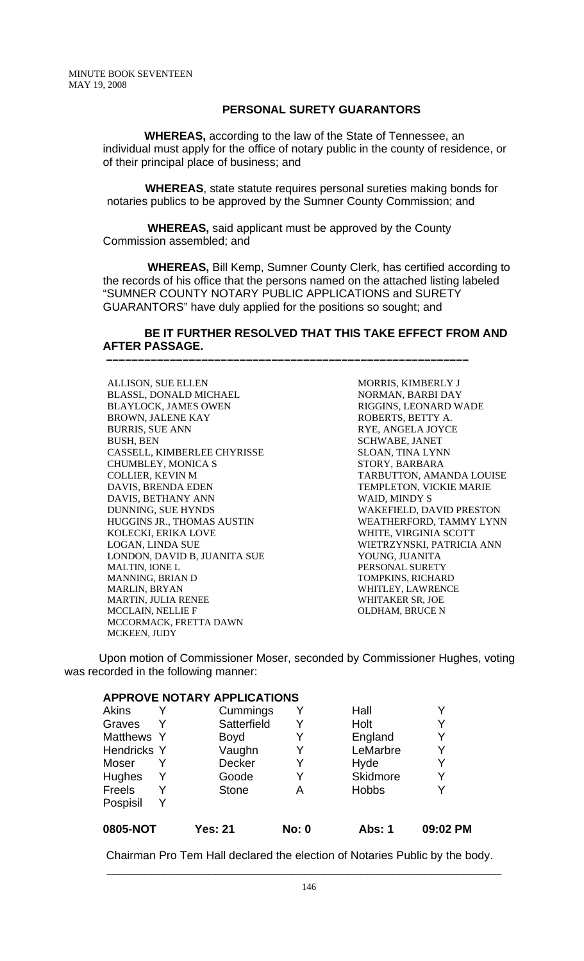## **PERSONAL SURETY GUARANTORS**

 **WHEREAS,** according to the law of the State of Tennessee, an individual must apply for the office of notary public in the county of residence, or of their principal place of business; and

 **WHEREAS**, state statute requires personal sureties making bonds for notaries publics to be approved by the Sumner County Commission; and

 **WHEREAS,** said applicant must be approved by the County Commission assembled; and

 **–––––––––––––––––––––––––––––––––––––––––––––––––––––––––**

 **WHEREAS,** Bill Kemp, Sumner County Clerk, has certified according to the records of his office that the persons named on the attached listing labeled "SUMNER COUNTY NOTARY PUBLIC APPLICATIONS and SURETY GUARANTORS" have duly applied for the positions so sought; and

## **BE IT FURTHER RESOLVED THAT THIS TAKE EFFECT FROM AND AFTER PASSAGE.**

ALLISON, SUE ELLEN BLASSL, DONALD MICHAEL BLAYLOCK, JAMES OWEN BROWN, JALENE KAY BURRIS, SUE ANN BUSH, BEN CASSELL, KIMBERLEE CHYRISSE CHUMBLEY, MONICA S COLLIER, KEVIN M DAVIS, BRENDA EDEN DAVIS, BETHANY ANN DUNNING, SUE HYNDS HUGGINS JR., THOMAS AUSTIN KOLECKI, ERIKA LOVE LOGAN, LINDA SUE LONDON, DAVID B, JUANITA SUE MALTIN, IONE L MANNING, BRIAN D MARLIN, BRYAN MARTIN, JULIA RENEE MCCLAIN, NELLIE F MCCORMACK, FRETTA DAWN MCKEEN, JUDY

MORRIS, KIMBERLY J NORMAN, BARBI DAY RIGGINS, LEONARD WADE ROBERTS, BETTY A. RYE, ANGELA JOYCE SCHWABE, JANET SLOAN, TINA LYNN STORY, BARBARA TARBUTTON, AMANDA LOUISE TEMPLETON, VICKIE MARIE WAID, MINDY S WAKEFIELD, DAVID PRESTON WEATHERFORD, TAMMY LYNN WHITE, VIRGINIA SCOTT WIETRZYNSKI, PATRICIA ANN YOUNG, JUANITA PERSONAL SURETY TOMPKINS, RICHARD WHITLEY, LAWRENCE WHITAKER SR, JOE OLDHAM, BRUCE N

Upon motion of Commissioner Moser, seconded by Commissioner Hughes, voting was recorded in the following manner:

### **APPROVE NOTARY APPLICATIONS**

| 0805-NOT    |   | Yes: 21      | <b>No: 0</b> | Abs: 1       | 09:02 PM |
|-------------|---|--------------|--------------|--------------|----------|
| Pospisil    |   |              |              |              |          |
| Freels      | Y | <b>Stone</b> | Α            | <b>Hobbs</b> |          |
| Hughes      | Y | Goode        | Y            | Skidmore     | Y        |
| Moser       |   | Decker       | Y            | Hyde         |          |
| Hendricks Y |   | Vaughn       | Y            | LeMarbre     | Υ        |
| Matthews Y  |   | <b>Boyd</b>  | Y            | England      | Y        |
| Graves      | Y | Satterfield  | Y            | Holt         |          |
| Akins       |   | Cummings     | Y            | Hall         |          |

Chairman Pro Tem Hall declared the election of Notaries Public by the body.

\_\_\_\_\_\_\_\_\_\_\_\_\_\_\_\_\_\_\_\_\_\_\_\_\_\_\_\_\_\_\_\_\_\_\_\_\_\_\_\_\_\_\_\_\_\_\_\_\_\_\_\_\_\_\_\_\_\_\_\_\_\_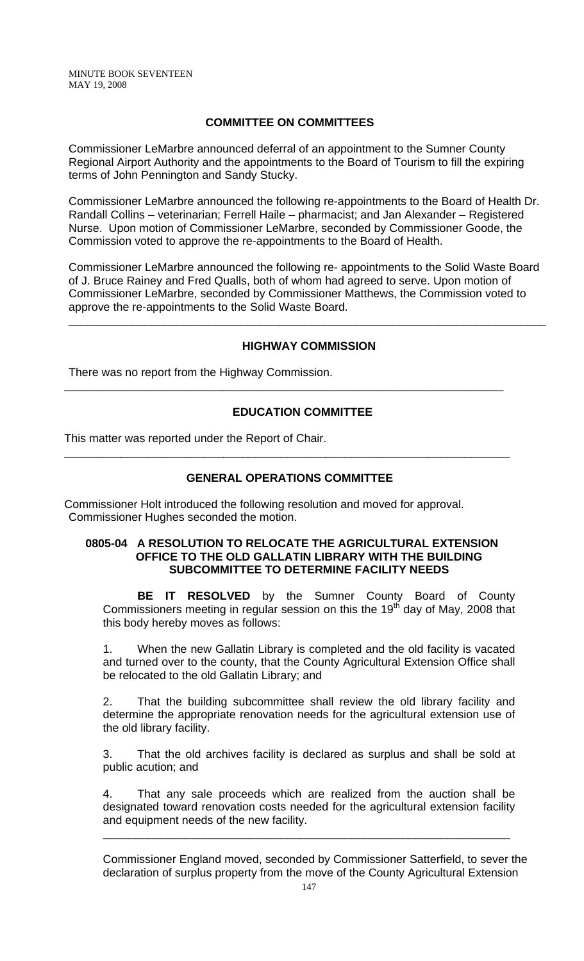## **COMMITTEE ON COMMITTEES**

Commissioner LeMarbre announced deferral of an appointment to the Sumner County Regional Airport Authority and the appointments to the Board of Tourism to fill the expiring terms of John Pennington and Sandy Stucky.

Commissioner LeMarbre announced the following re-appointments to the Board of Health Dr. Randall Collins – veterinarian; Ferrell Haile – pharmacist; and Jan Alexander – Registered Nurse. Upon motion of Commissioner LeMarbre, seconded by Commissioner Goode, the Commission voted to approve the re-appointments to the Board of Health.

Commissioner LeMarbre announced the following re- appointments to the Solid Waste Board of J. Bruce Rainey and Fred Qualls, both of whom had agreed to serve. Upon motion of Commissioner LeMarbre, seconded by Commissioner Matthews, the Commission voted to approve the re-appointments to the Solid Waste Board.

## **HIGHWAY COMMISSION**

\_\_\_\_\_\_\_\_\_\_\_\_\_\_\_\_\_\_\_\_\_\_\_\_\_\_\_\_\_\_\_\_\_\_\_\_\_\_\_\_\_\_\_\_\_\_\_\_\_\_\_\_\_\_\_\_\_\_\_\_\_\_\_\_\_\_\_\_\_\_\_\_\_\_\_

There was no report from the Highway Commission.

## **EDUCATION COMMITTEE**

**\_\_\_\_\_\_\_\_\_\_\_\_\_\_\_\_\_\_\_\_\_\_\_\_\_\_\_\_\_\_\_\_\_\_\_\_\_\_\_\_\_\_\_\_\_\_\_\_\_\_\_\_\_\_\_\_\_\_\_\_\_\_\_\_\_\_\_\_\_** 

This matter was reported under the Report of Chair.

## **GENERAL OPERATIONS COMMITTEE**

\_\_\_\_\_\_\_\_\_\_\_\_\_\_\_\_\_\_\_\_\_\_\_\_\_\_\_\_\_\_\_\_\_\_\_\_\_\_\_\_\_\_\_\_\_\_\_\_\_\_\_\_\_\_\_\_\_\_\_\_\_\_\_\_\_\_\_\_\_\_

Commissioner Holt introduced the following resolution and moved for approval. Commissioner Hughes seconded the motion.

## **0805-04 A RESOLUTION TO RELOCATE THE AGRICULTURAL EXTENSION OFFICE TO THE OLD GALLATIN LIBRARY WITH THE BUILDING SUBCOMMITTEE TO DETERMINE FACILITY NEEDS**

**BE IT RESOLVED** by the Sumner County Board of County Commissioners meeting in regular session on this the 19<sup>th</sup> day of May, 2008 that this body hereby moves as follows:

1. When the new Gallatin Library is completed and the old facility is vacated and turned over to the county, that the County Agricultural Extension Office shall be relocated to the old Gallatin Library; and

2. That the building subcommittee shall review the old library facility and determine the appropriate renovation needs for the agricultural extension use of the old library facility.

3. That the old archives facility is declared as surplus and shall be sold at public acution; and

That any sale proceeds which are realized from the auction shall be designated toward renovation costs needed for the agricultural extension facility and equipment needs of the new facility.

\_\_\_\_\_\_\_\_\_\_\_\_\_\_\_\_\_\_\_\_\_\_\_\_\_\_\_\_\_\_\_\_\_\_\_\_\_\_\_\_\_\_\_\_\_\_\_\_\_\_\_\_\_\_\_\_\_\_\_\_\_\_\_\_

Commissioner England moved, seconded by Commissioner Satterfield, to sever the declaration of surplus property from the move of the County Agricultural Extension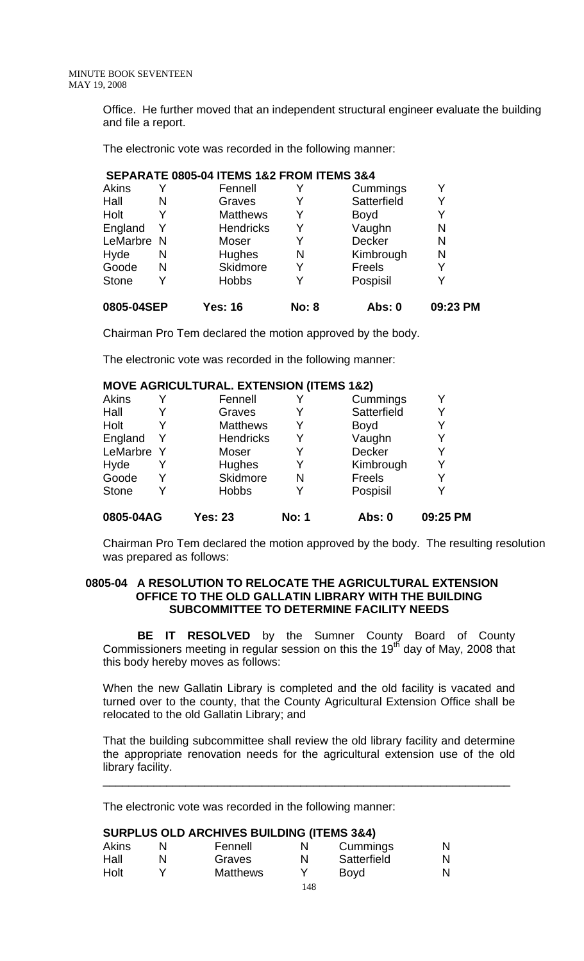Office. He further moved that an independent structural engineer evaluate the building and file a report.

The electronic vote was recorded in the following manner:

#### **SEPARATE 0805-04 ITEMS 1&2 FROM ITEMS 3&4**

| 0805-04SEP   |   | Yes: 16          | <b>No: 8</b> | Abs: 0      | 09:23 PM |
|--------------|---|------------------|--------------|-------------|----------|
| <b>Stone</b> |   | <b>Hobbs</b>     | v            | Pospisil    |          |
| Goode        | N | Skidmore         | Y            | Freels      |          |
| Hyde         | N | Hughes           | N            | Kimbrough   | N        |
| LeMarbre N   |   | Moser            | v            | Decker      | N        |
| England      |   | <b>Hendricks</b> | Y            | Vaughn      | N        |
| Holt         |   | <b>Matthews</b>  | Y            | <b>Boyd</b> |          |
| Hall         | N | Graves           |              | Satterfield |          |
| Akins        |   | Fennell          |              | Cummings    |          |

Chairman Pro Tem declared the motion approved by the body.

The electronic vote was recorded in the following manner:

|              |   | <b>MOVE AGRICULTURAL. EXTENSION (ITEMS 1&amp;2)</b> |              |             |          |
|--------------|---|-----------------------------------------------------|--------------|-------------|----------|
| <b>Akins</b> |   | Fennell                                             |              | Cummings    | Y        |
| Hall         |   | Graves                                              |              | Satterfield | Y        |
| Holt         | Y | <b>Matthews</b>                                     | Y            | <b>Boyd</b> |          |
| England      | Y | <b>Hendricks</b>                                    | Y            | Vaughn      | Y        |
| LeMarbre Y   |   | Moser                                               | Y            | Decker      | Y        |
| Hyde         | Y | Hughes                                              | Y            | Kimbrough   | Y        |
| Goode        | Y | <b>Skidmore</b>                                     | N            | Freels      |          |
| <b>Stone</b> | Y | <b>Hobbs</b>                                        | Y            | Pospisil    |          |
| 0805-04AG    |   | <b>Yes: 23</b>                                      | <b>No: 1</b> | Abs: 0      | 09:25 PM |

Chairman Pro Tem declared the motion approved by the body. The resulting resolution was prepared as follows:

### **0805-04 A RESOLUTION TO RELOCATE THE AGRICULTURAL EXTENSION OFFICE TO THE OLD GALLATIN LIBRARY WITH THE BUILDING SUBCOMMITTEE TO DETERMINE FACILITY NEEDS**

 **BE IT RESOLVED** by the Sumner County Board of County Commissioners meeting in regular session on this the 19<sup>th</sup> day of May, 2008 that this body hereby moves as follows:

When the new Gallatin Library is completed and the old facility is vacated and turned over to the county, that the County Agricultural Extension Office shall be relocated to the old Gallatin Library; and

That the building subcommittee shall review the old library facility and determine the appropriate renovation needs for the agricultural extension use of the old library facility.

\_\_\_\_\_\_\_\_\_\_\_\_\_\_\_\_\_\_\_\_\_\_\_\_\_\_\_\_\_\_\_\_\_\_\_\_\_\_\_\_\_\_\_\_\_\_\_\_\_\_\_\_\_\_\_\_\_\_\_\_\_\_\_\_

The electronic vote was recorded in the following manner:

### **SURPLUS OLD ARCHIVES BUILDING (ITEMS 3&4)**

| Akins | Fennell         |     | Cummings    | N |
|-------|-----------------|-----|-------------|---|
| Hall  | Graves          | N   | Satterfield | N |
| Holt  | <b>Matthews</b> |     | <b>Boyd</b> | N |
|       |                 | 148 |             |   |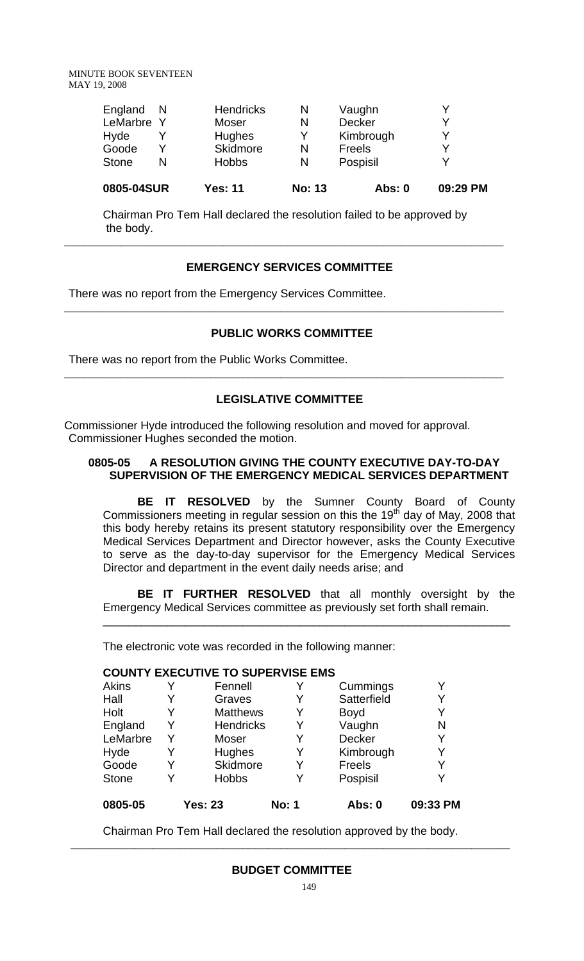| 0805-04SUR   |   | <b>Yes: 11</b>   | <b>No: 13</b> | Abs: $0$      | 09:29 PM |
|--------------|---|------------------|---------------|---------------|----------|
| <b>Stone</b> | N | <b>Hobbs</b>     | N             | Pospisil      | v        |
| Goode        | v | Skidmore         | N             | Freels        | V        |
| Hyde         |   | <b>Hughes</b>    | v             | Kimbrough     | v        |
| LeMarbre Y   |   | Moser            | N             | <b>Decker</b> | v        |
| England      | N | <b>Hendricks</b> | N             | Vaughn        | v        |

Chairman Pro Tem Hall declared the resolution failed to be approved by the body.

**\_\_\_\_\_\_\_\_\_\_\_\_\_\_\_\_\_\_\_\_\_\_\_\_\_\_\_\_\_\_\_\_\_\_\_\_\_\_\_\_\_\_\_\_\_\_\_\_\_\_\_\_\_\_\_\_\_\_\_\_\_\_\_\_\_\_\_\_\_** 

## **EMERGENCY SERVICES COMMITTEE**

There was no report from the Emergency Services Committee.

## **PUBLIC WORKS COMMITTEE**

**\_\_\_\_\_\_\_\_\_\_\_\_\_\_\_\_\_\_\_\_\_\_\_\_\_\_\_\_\_\_\_\_\_\_\_\_\_\_\_\_\_\_\_\_\_\_\_\_\_\_\_\_\_\_\_\_\_\_\_\_\_\_\_\_\_\_\_\_\_** 

There was no report from the Public Works Committee.

## **LEGISLATIVE COMMITTEE**

**\_\_\_\_\_\_\_\_\_\_\_\_\_\_\_\_\_\_\_\_\_\_\_\_\_\_\_\_\_\_\_\_\_\_\_\_\_\_\_\_\_\_\_\_\_\_\_\_\_\_\_\_\_\_\_\_\_\_\_\_\_\_\_\_\_\_\_\_\_** 

Commissioner Hyde introduced the following resolution and moved for approval. Commissioner Hughes seconded the motion.

## **0805-05 A RESOLUTION GIVING THE COUNTY EXECUTIVE DAY-TO-DAY SUPERVISION OF THE EMERGENCY MEDICAL SERVICES DEPARTMENT**

 **BE IT RESOLVED** by the Sumner County Board of County Commissioners meeting in regular session on this the 19<sup>th</sup> day of May, 2008 that this body hereby retains its present statutory responsibility over the Emergency Medical Services Department and Director however, asks the County Executive to serve as the day-to-day supervisor for the Emergency Medical Services Director and department in the event daily needs arise; and

**BE IT FURTHER RESOLVED** that all monthly oversight by the Emergency Medical Services committee as previously set forth shall remain.

\_\_\_\_\_\_\_\_\_\_\_\_\_\_\_\_\_\_\_\_\_\_\_\_\_\_\_\_\_\_\_\_\_\_\_\_\_\_\_\_\_\_\_\_\_\_\_\_\_\_\_\_\_\_\_\_\_\_\_\_\_\_\_\_

The electronic vote was recorded in the following manner:

#### **COUNTY EXECUTIVE TO SUPERVISE EMS**

| Akins        | Y | Fennell          |              | Cummings      |          |
|--------------|---|------------------|--------------|---------------|----------|
| Hall         | Y | Graves           | Y            | Satterfield   | Y        |
| Holt         | Y | <b>Matthews</b>  | Y            | <b>Boyd</b>   | Y        |
| England      | Y | <b>Hendricks</b> | Y            | Vaughn        | N        |
| LeMarbre     | Y | Moser            |              | Decker        | Y        |
| Hyde         | Y | Hughes           | Y            | Kimbrough     | Y        |
| Goode        | Y | Skidmore         |              | <b>Freels</b> | Y        |
| <b>Stone</b> | v | <b>Hobbs</b>     |              | Pospisil      | Y        |
| 0805-05      |   | <b>Yes: 23</b>   | <b>No: 1</b> | Abs: 0        | 09:33 PM |

Chairman Pro Tem Hall declared the resolution approved by the body.

 **\_\_\_\_\_\_\_\_\_\_\_\_\_\_\_\_\_\_\_\_\_\_\_\_\_\_\_\_\_\_\_\_\_\_\_\_\_\_\_\_\_\_\_\_\_\_\_\_\_\_\_\_\_\_\_\_\_\_\_\_\_\_\_\_\_\_\_\_\_**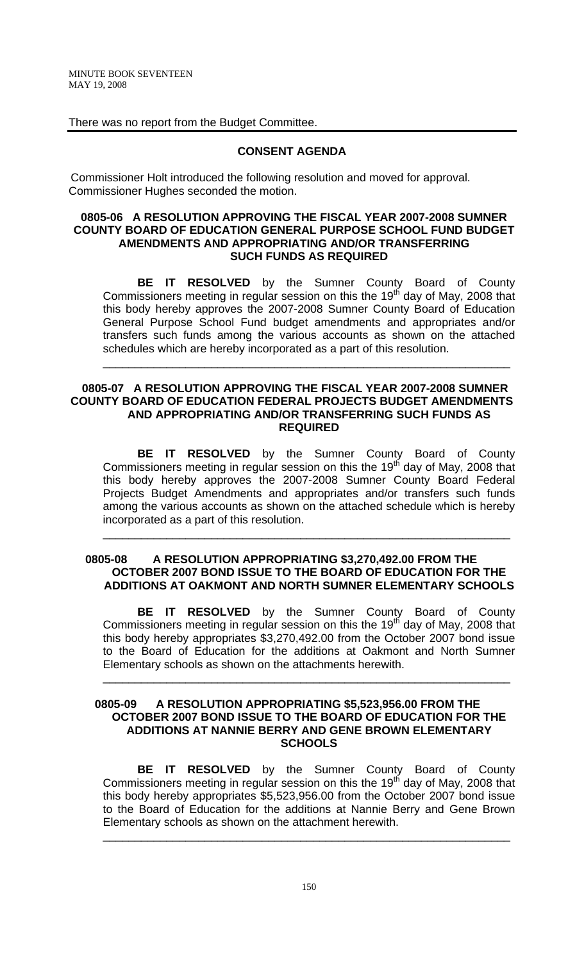There was no report from the Budget Committee.

## **CONSENT AGENDA**

 Commissioner Holt introduced the following resolution and moved for approval. Commissioner Hughes seconded the motion.

### **0805-06 A RESOLUTION APPROVING THE FISCAL YEAR 2007-2008 SUMNER COUNTY BOARD OF EDUCATION GENERAL PURPOSE SCHOOL FUND BUDGET AMENDMENTS AND APPROPRIATING AND/OR TRANSFERRING SUCH FUNDS AS REQUIRED**

 **BE IT RESOLVED** by the Sumner County Board of County Commissioners meeting in regular session on this the 19<sup>th</sup> day of May, 2008 that this body hereby approves the 2007-2008 Sumner County Board of Education General Purpose School Fund budget amendments and appropriates and/or transfers such funds among the various accounts as shown on the attached schedules which are hereby incorporated as a part of this resolution.

\_\_\_\_\_\_\_\_\_\_\_\_\_\_\_\_\_\_\_\_\_\_\_\_\_\_\_\_\_\_\_\_\_\_\_\_\_\_\_\_\_\_\_\_\_\_\_\_\_\_\_\_\_\_\_\_\_\_\_\_\_\_\_\_

### **0805-07 A RESOLUTION APPROVING THE FISCAL YEAR 2007-2008 SUMNER COUNTY BOARD OF EDUCATION FEDERAL PROJECTS BUDGET AMENDMENTS AND APPROPRIATING AND/OR TRANSFERRING SUCH FUNDS AS REQUIRED**

 **BE IT RESOLVED** by the Sumner County Board of County Commissioners meeting in regular session on this the 19<sup>th</sup> day of May, 2008 that this body hereby approves the 2007-2008 Sumner County Board Federal Projects Budget Amendments and appropriates and/or transfers such funds among the various accounts as shown on the attached schedule which is hereby incorporated as a part of this resolution.

\_\_\_\_\_\_\_\_\_\_\_\_\_\_\_\_\_\_\_\_\_\_\_\_\_\_\_\_\_\_\_\_\_\_\_\_\_\_\_\_\_\_\_\_\_\_\_\_\_\_\_\_\_\_\_\_\_\_\_\_\_\_\_\_

### **0805-08 A RESOLUTION APPROPRIATING \$3,270,492.00 FROM THE OCTOBER 2007 BOND ISSUE TO THE BOARD OF EDUCATION FOR THE ADDITIONS AT OAKMONT AND NORTH SUMNER ELEMENTARY SCHOOLS**

 **BE IT RESOLVED** by the Sumner County Board of County Commissioners meeting in regular session on this the 19<sup>th</sup> day of May, 2008 that this body hereby appropriates \$3,270,492.00 from the October 2007 bond issue to the Board of Education for the additions at Oakmont and North Sumner Elementary schools as shown on the attachments herewith.

\_\_\_\_\_\_\_\_\_\_\_\_\_\_\_\_\_\_\_\_\_\_\_\_\_\_\_\_\_\_\_\_\_\_\_\_\_\_\_\_\_\_\_\_\_\_\_\_\_\_\_\_\_\_\_\_\_\_\_\_\_\_\_\_

### **0805-09 A RESOLUTION APPROPRIATING \$5,523,956.00 FROM THE OCTOBER 2007 BOND ISSUE TO THE BOARD OF EDUCATION FOR THE ADDITIONS AT NANNIE BERRY AND GENE BROWN ELEMENTARY SCHOOLS**

 **BE IT RESOLVED** by the Sumner County Board of County Commissioners meeting in regular session on this the 19<sup>th</sup> day of May, 2008 that this body hereby appropriates \$5,523,956.00 from the October 2007 bond issue to the Board of Education for the additions at Nannie Berry and Gene Brown Elementary schools as shown on the attachment herewith.

\_\_\_\_\_\_\_\_\_\_\_\_\_\_\_\_\_\_\_\_\_\_\_\_\_\_\_\_\_\_\_\_\_\_\_\_\_\_\_\_\_\_\_\_\_\_\_\_\_\_\_\_\_\_\_\_\_\_\_\_\_\_\_\_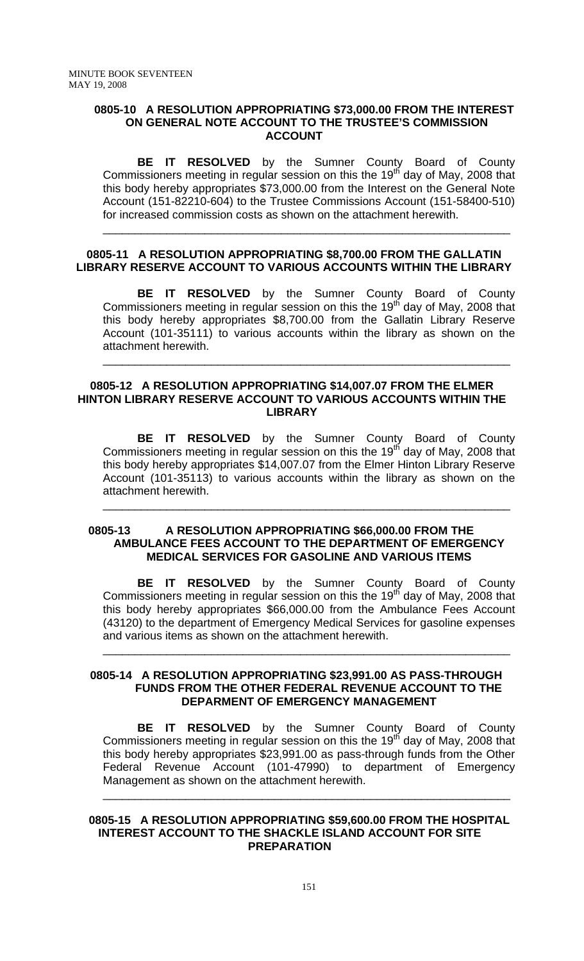#### **0805-10 A RESOLUTION APPROPRIATING \$73,000.00 FROM THE INTEREST ON GENERAL NOTE ACCOUNT TO THE TRUSTEE'S COMMISSION ACCOUNT**

 **BE IT RESOLVED** by the Sumner County Board of County Commissioners meeting in regular session on this the 19<sup>th</sup> day of May, 2008 that this body hereby appropriates \$73,000.00 from the Interest on the General Note Account (151-82210-604) to the Trustee Commissions Account (151-58400-510) for increased commission costs as shown on the attachment herewith.

\_\_\_\_\_\_\_\_\_\_\_\_\_\_\_\_\_\_\_\_\_\_\_\_\_\_\_\_\_\_\_\_\_\_\_\_\_\_\_\_\_\_\_\_\_\_\_\_\_\_\_\_\_\_\_\_\_\_\_\_\_\_\_\_

## **0805-11 A RESOLUTION APPROPRIATING \$8,700.00 FROM THE GALLATIN LIBRARY RESERVE ACCOUNT TO VARIOUS ACCOUNTS WITHIN THE LIBRARY**

 **BE IT RESOLVED** by the Sumner County Board of County Commissioners meeting in regular session on this the 19<sup>th</sup> day of May, 2008 that this body hereby appropriates \$8,700.00 from the Gallatin Library Reserve Account (101-35111) to various accounts within the library as shown on the attachment herewith.

\_\_\_\_\_\_\_\_\_\_\_\_\_\_\_\_\_\_\_\_\_\_\_\_\_\_\_\_\_\_\_\_\_\_\_\_\_\_\_\_\_\_\_\_\_\_\_\_\_\_\_\_\_\_\_\_\_\_\_\_\_\_\_\_

#### **0805-12 A RESOLUTION APPROPRIATING \$14,007.07 FROM THE ELMER HINTON LIBRARY RESERVE ACCOUNT TO VARIOUS ACCOUNTS WITHIN THE LIBRARY**

 **BE IT RESOLVED** by the Sumner County Board of County Commissioners meeting in regular session on this the 19<sup>th</sup> day of May, 2008 that this body hereby appropriates \$14,007.07 from the Elmer Hinton Library Reserve Account (101-35113) to various accounts within the library as shown on the attachment herewith.

\_\_\_\_\_\_\_\_\_\_\_\_\_\_\_\_\_\_\_\_\_\_\_\_\_\_\_\_\_\_\_\_\_\_\_\_\_\_\_\_\_\_\_\_\_\_\_\_\_\_\_\_\_\_\_\_\_\_\_\_\_\_\_\_

#### **0805-13 A RESOLUTION APPROPRIATING \$66,000.00 FROM THE AMBULANCE FEES ACCOUNT TO THE DEPARTMENT OF EMERGENCY MEDICAL SERVICES FOR GASOLINE AND VARIOUS ITEMS**

**BE IT RESOLVED** by the Sumner County Board of County Commissioners meeting in regular session on this the 19<sup>th</sup> day of May, 2008 that this body hereby appropriates \$66,000.00 from the Ambulance Fees Account (43120) to the department of Emergency Medical Services for gasoline expenses and various items as shown on the attachment herewith.

\_\_\_\_\_\_\_\_\_\_\_\_\_\_\_\_\_\_\_\_\_\_\_\_\_\_\_\_\_\_\_\_\_\_\_\_\_\_\_\_\_\_\_\_\_\_\_\_\_\_\_\_\_\_\_\_\_\_\_\_\_\_\_\_

#### **0805-14 A RESOLUTION APPROPRIATING \$23,991.00 AS PASS-THROUGH FUNDS FROM THE OTHER FEDERAL REVENUE ACCOUNT TO THE DEPARMENT OF EMERGENCY MANAGEMENT**

 **BE IT RESOLVED** by the Sumner County Board of County Commissioners meeting in regular session on this the 19<sup>th</sup> day of May, 2008 that this body hereby appropriates \$23,991.00 as pass-through funds from the Other Federal Revenue Account (101-47990) to department of Emergency Management as shown on the attachment herewith.

\_\_\_\_\_\_\_\_\_\_\_\_\_\_\_\_\_\_\_\_\_\_\_\_\_\_\_\_\_\_\_\_\_\_\_\_\_\_\_\_\_\_\_\_\_\_\_\_\_\_\_\_\_\_\_\_\_\_\_\_\_\_\_\_

### **0805-15 A RESOLUTION APPROPRIATING \$59,600.00 FROM THE HOSPITAL INTEREST ACCOUNT TO THE SHACKLE ISLAND ACCOUNT FOR SITE PREPARATION**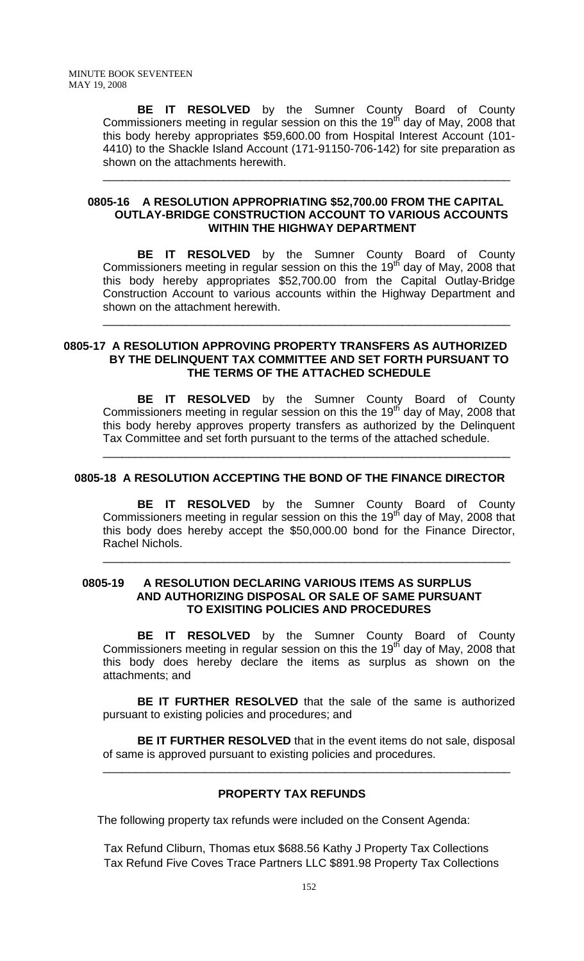**BE IT RESOLVED** by the Sumner County Board of County Commissioners meeting in regular session on this the 19<sup>th</sup> day of May, 2008 that this body hereby appropriates \$59,600.00 from Hospital Interest Account (101- 4410) to the Shackle Island Account (171-91150-706-142) for site preparation as shown on the attachments herewith.

\_\_\_\_\_\_\_\_\_\_\_\_\_\_\_\_\_\_\_\_\_\_\_\_\_\_\_\_\_\_\_\_\_\_\_\_\_\_\_\_\_\_\_\_\_\_\_\_\_\_\_\_\_\_\_\_\_\_\_\_\_\_\_\_

### **0805-16 A RESOLUTION APPROPRIATING \$52,700.00 FROM THE CAPITAL OUTLAY-BRIDGE CONSTRUCTION ACCOUNT TO VARIOUS ACCOUNTS WITHIN THE HIGHWAY DEPARTMENT**

 **BE IT RESOLVED** by the Sumner County Board of County Commissioners meeting in regular session on this the 19<sup>th</sup> day of May, 2008 that this body hereby appropriates \$52,700.00 from the Capital Outlay-Bridge Construction Account to various accounts within the Highway Department and shown on the attachment herewith.

\_\_\_\_\_\_\_\_\_\_\_\_\_\_\_\_\_\_\_\_\_\_\_\_\_\_\_\_\_\_\_\_\_\_\_\_\_\_\_\_\_\_\_\_\_\_\_\_\_\_\_\_\_\_\_\_\_\_\_\_\_\_\_\_

#### **0805-17 A RESOLUTION APPROVING PROPERTY TRANSFERS AS AUTHORIZED BY THE DELINQUENT TAX COMMITTEE AND SET FORTH PURSUANT TO THE TERMS OF THE ATTACHED SCHEDULE**

**BE IT RESOLVED** by the Sumner County Board of County Commissioners meeting in regular session on this the 19<sup>th</sup> day of May, 2008 that this body hereby approves property transfers as authorized by the Delinquent Tax Committee and set forth pursuant to the terms of the attached schedule.

\_\_\_\_\_\_\_\_\_\_\_\_\_\_\_\_\_\_\_\_\_\_\_\_\_\_\_\_\_\_\_\_\_\_\_\_\_\_\_\_\_\_\_\_\_\_\_\_\_\_\_\_\_\_\_\_\_\_\_\_\_\_\_\_

## **0805-18 A RESOLUTION ACCEPTING THE BOND OF THE FINANCE DIRECTOR**

 **BE IT RESOLVED** by the Sumner County Board of County Commissioners meeting in regular session on this the 19<sup>th</sup> day of May, 2008 that this body does hereby accept the \$50,000.00 bond for the Finance Director, Rachel Nichols.

\_\_\_\_\_\_\_\_\_\_\_\_\_\_\_\_\_\_\_\_\_\_\_\_\_\_\_\_\_\_\_\_\_\_\_\_\_\_\_\_\_\_\_\_\_\_\_\_\_\_\_\_\_\_\_\_\_\_\_\_\_\_\_\_

### **0805-19 A RESOLUTION DECLARING VARIOUS ITEMS AS SURPLUS AND AUTHORIZING DISPOSAL OR SALE OF SAME PURSUANT TO EXISITING POLICIES AND PROCEDURES**

 **BE IT RESOLVED** by the Sumner County Board of County Commissioners meeting in regular session on this the 19<sup>th</sup> day of May, 2008 that this body does hereby declare the items as surplus as shown on the attachments; and

**BE IT FURTHER RESOLVED** that the sale of the same is authorized pursuant to existing policies and procedures; and

**BE IT FURTHER RESOLVED** that in the event items do not sale, disposal of same is approved pursuant to existing policies and procedures.

\_\_\_\_\_\_\_\_\_\_\_\_\_\_\_\_\_\_\_\_\_\_\_\_\_\_\_\_\_\_\_\_\_\_\_\_\_\_\_\_\_\_\_\_\_\_\_\_\_\_\_\_\_\_\_\_\_\_\_\_\_\_\_\_

## **PROPERTY TAX REFUNDS**

The following property tax refunds were included on the Consent Agenda:

Tax Refund Cliburn, Thomas etux \$688.56 Kathy J Property Tax Collections Tax Refund Five Coves Trace Partners LLC \$891.98 Property Tax Collections